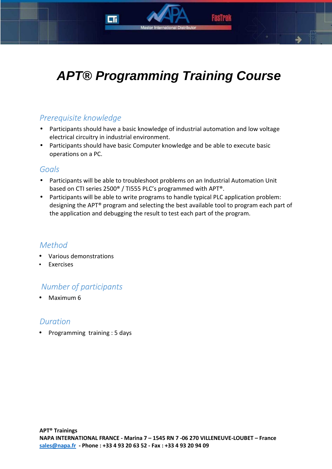# **APT® Programming Training Course**

## *Prerequisite knowledge*

- Participants should have a basic knowledge of industrial automation and low voltage electrical circuitry in industrial environment.
- Participants should have basic Computer knowledge and be able to execute basic operations on a PC.

### *Goals*

- Participants will be able to troubleshoot problems on an Industrial Automation Unit based on CTI series 2500® / TI555 PLC's programmed with APT®.
- Participants will be able to write programs to handle typical PLC application problem: designing the APT® program and selecting the best available tool to program each part of the application and debugging the result to test each part of the program.

## *Method*

- Various demonstrations
- **Exercises**

## *Number of participants*

• Maximum 6

## *Duration*

• Programming training : 5 days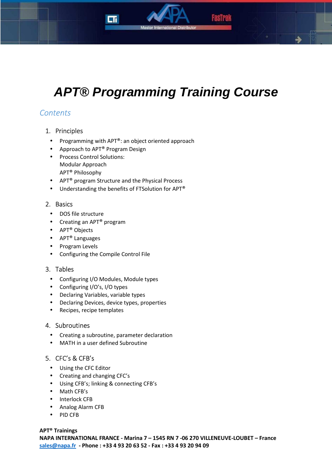



## **APT® Programming Training Course**

## *Contents*

#### 1. Principles

- Programming with APT®: an object oriented approach
- Approach to APT<sup>®</sup> Program Design
- Process Control Solutions: Modular Approach APT® Philosophy
- APT® program Structure and the Physical Process
- Understanding the benefits of FTSolution for APT®

#### 2. Basics

- DOS file structure
- Creating an APT<sup>®</sup> program
- APT® Objects
- APT® Languages
- Program Levels
- Configuring the Compile Control File

#### 3. Tables

- Configuring I/O Modules, Module types
- Configuring I/O's, I/O types
- Declaring Variables, variable types
- Declaring Devices, device types, properties
- Recipes, recipe templates

#### 4. Subroutines

- Creating a subroutine, parameter declaration
- MATH in a user defined Subroutine

#### 5. CFC's & CFB's

- Using the CFC Editor
- Creating and changing CFC's
- Using CFB's; linking & connecting CFB's
- Math CFB's
- Interlock CFB
- Analog Alarm CFB
- PID CFB